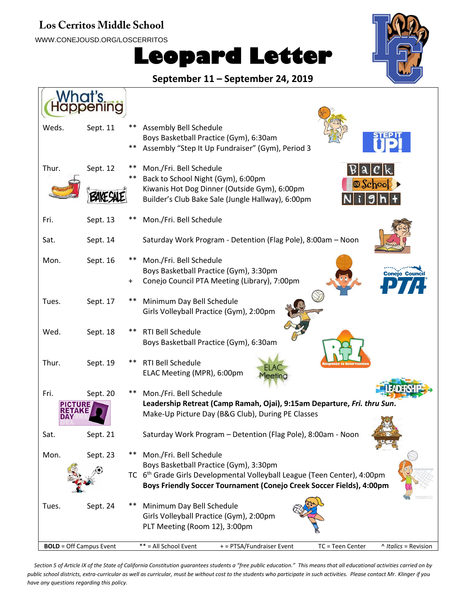#### Los Cerritos Middle School

WWW.CONEJOUSD.ORG/LOSCERRITOS

# **Leopard Letter**



**September 11 – September 24, 2019**

| Weds.<br>Sept. 11                | Assembly Bell Schedule<br>$***$                 | Boys Basketball Practice (Gym), 6:30am<br>Assembly "Step It Up Fundraiser" (Gym), Period 3                                                                                                             |
|----------------------------------|-------------------------------------------------|--------------------------------------------------------------------------------------------------------------------------------------------------------------------------------------------------------|
| Thur.<br>Sept. 12                | Mon./Fri. Bell Schedule                         | B a c k<br>Back to School Night (Gym), 6:00pm<br>$\circledast$ Schoo<br>Kiwanis Hot Dog Dinner (Outside Gym), 6:00pm<br>$N$ igh<br>Builder's Club Bake Sale (Jungle Hallway), 6:00pm                   |
| Fri.<br>Sept. 13                 | Mon./Fri. Bell Schedule                         |                                                                                                                                                                                                        |
| Sat.<br>Sept. 14                 |                                                 | Saturday Work Program - Detention (Flag Pole), 8:00am - Noon                                                                                                                                           |
| Mon.<br>Sept. 16                 | Mon./Fri. Bell Schedule                         | Boys Basketball Practice (Gym), 3:30pm<br><b>Conejo Cound</b><br>Conejo Council PTA Meeting (Library), 7:00pm                                                                                          |
| Tues.<br>Sept. 17                | Minimum Day Bell Schedule                       | Girls Volleyball Practice (Gym), 2:00pm                                                                                                                                                                |
| Wed.<br>Sept. 18                 | RTI Bell Schedule                               | Boys Basketball Practice (Gym), 6:30am                                                                                                                                                                 |
| Thur.<br>Sept. 19                | RTI Bell Schedule<br>ELAC Meeting (MPR), 6:00pm | leeting                                                                                                                                                                                                |
| Fri.<br>Sept. 20<br><b>CTURE</b> | Mon./Fri. Bell Schedule                         | Leadership Retreat (Camp Ramah, Ojai), 9:15am Departure, Fri. thru Sun.<br>Make-Up Picture Day (B&G Club), During PE Classes                                                                           |
| Sat.<br>Sept. 21                 |                                                 | Saturday Work Program - Detention (Flag Pole), 8:00am - Noon                                                                                                                                           |
| Sept. 23<br>Mon.                 | Mon./Fri. Bell Schedule<br>$***$                | Boys Basketball Practice (Gym), 3:30pm<br>TC 6 <sup>th</sup> Grade Girls Developmental Volleyball League (Teen Center), 4:00pm<br>Boys Friendly Soccer Tournament (Conejo Creek Soccer Fields), 4:00pm |
| Sept. 24<br>Tues.                | Minimum Day Bell Schedule                       | Girls Volleyball Practice (Gym), 2:00pm<br>PLT Meeting (Room 12), 3:00pm                                                                                                                               |
| <b>BOLD</b> = Off Campus Event   | ** = All School Event                           | + = PTSA/Fundraiser Event<br>TC = Teen Center<br>^ Italics = Revision                                                                                                                                  |

*Section 5 of Article IX of the State of California Constitution guarantees students a "free public education." This means that all educational activities carried on by public school districts, extra-curricular as well as curricular, must be without cost to the students who participate in such activities. Please contact Mr. Klinger if you have any questions regarding this policy.*